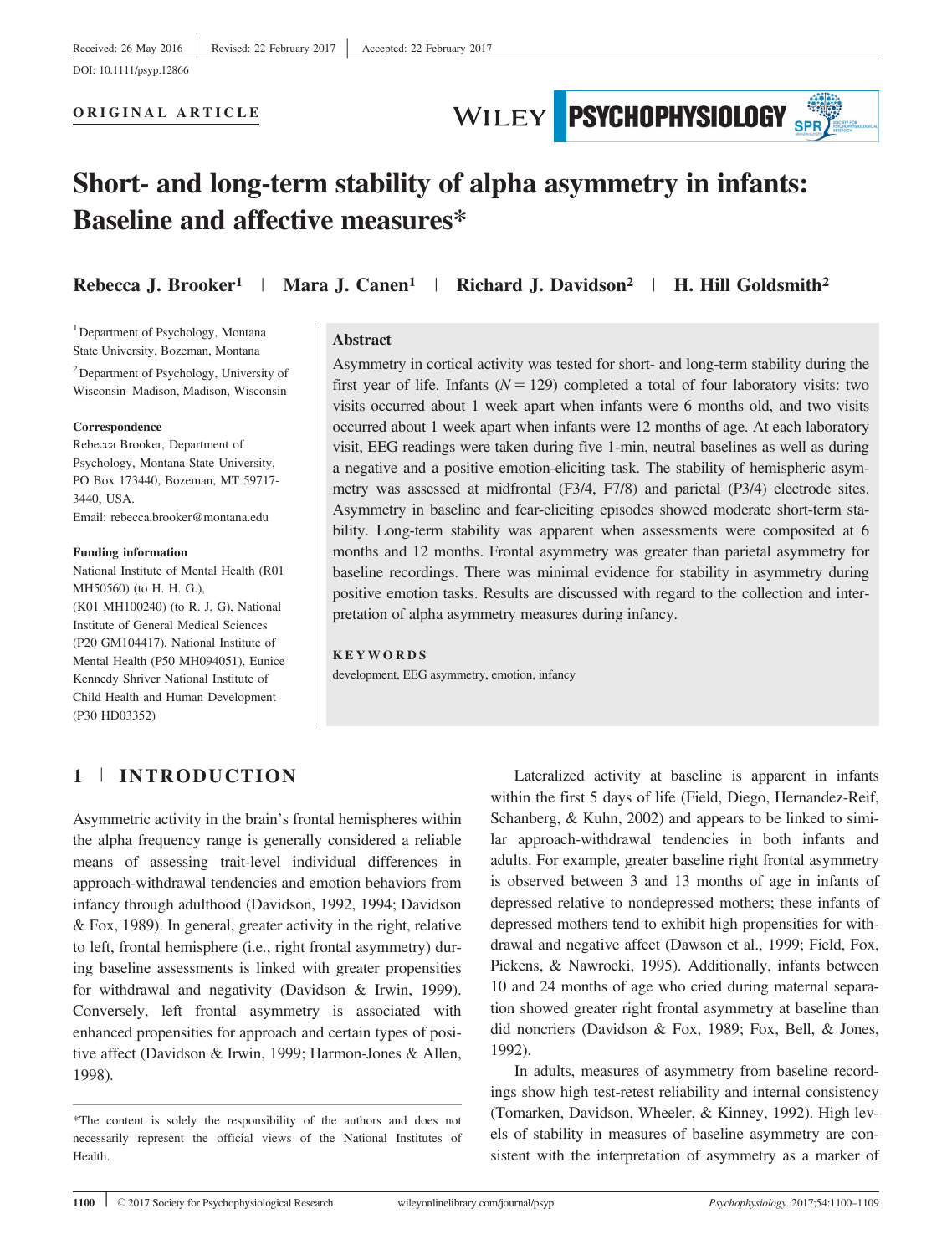## ORIGINAL ARTICLE



# Short- and long-term stability of alpha asymmetry in infants: Baseline and affective measures\*

Rebecca J. Brooker<sup>1</sup> | Mara J. Canen<sup>1</sup> | Richard J. Davidson<sup>2</sup> | H. Hill Goldsmith<sup>2</sup>

<sup>1</sup> Department of Psychology, Montana State University, Bozeman, Montana

2 Department of Psychology, University of Wisconsin–Madison, Madison, Wisconsin

#### Correspondence

Rebecca Brooker, Department of Psychology, Montana State University, PO Box 173440, Bozeman, MT 59717- 3440, USA. Email: rebecca.brooker@montana.edu

#### Funding information

National Institute of Mental Health (R01 MH50560) (to H. H. G.), (K01 MH100240) (to R. J. G), National Institute of General Medical Sciences (P20 GM104417), National Institute of Mental Health (P50 MH094051), Eunice Kennedy Shriver National Institute of Child Health and Human Development (P30 HD03352)

#### Abstract

Asymmetry in cortical activity was tested for short- and long-term stability during the first year of life. Infants  $(N = 129)$  completed a total of four laboratory visits: two visits occurred about 1 week apart when infants were 6 months old, and two visits occurred about 1 week apart when infants were 12 months of age. At each laboratory visit, EEG readings were taken during five 1-min, neutral baselines as well as during a negative and a positive emotion-eliciting task. The stability of hemispheric asymmetry was assessed at midfrontal (F3/4, F7/8) and parietal (P3/4) electrode sites. Asymmetry in baseline and fear-eliciting episodes showed moderate short-term stability. Long-term stability was apparent when assessments were composited at 6 months and 12 months. Frontal asymmetry was greater than parietal asymmetry for baseline recordings. There was minimal evidence for stability in asymmetry during positive emotion tasks. Results are discussed with regard to the collection and interpretation of alpha asymmetry measures during infancy.

#### **KEYWORDS**

development, EEG asymmetry, emotion, infancy

## 1 <sup>|</sup> INTRODUCTION

Asymmetric activity in the brain's frontal hemispheres within the alpha frequency range is generally considered a reliable means of assessing trait-level individual differences in approach-withdrawal tendencies and emotion behaviors from infancy through adulthood (Davidson, 1992, 1994; Davidson & Fox, 1989). In general, greater activity in the right, relative to left, frontal hemisphere (i.e., right frontal asymmetry) during baseline assessments is linked with greater propensities for withdrawal and negativity (Davidson & Irwin, 1999). Conversely, left frontal asymmetry is associated with enhanced propensities for approach and certain types of positive affect (Davidson & Irwin, 1999; Harmon-Jones & Allen, 1998).

Lateralized activity at baseline is apparent in infants within the first 5 days of life (Field, Diego, Hernandez-Reif, Schanberg, & Kuhn, 2002) and appears to be linked to similar approach-withdrawal tendencies in both infants and adults. For example, greater baseline right frontal asymmetry is observed between 3 and 13 months of age in infants of depressed relative to nondepressed mothers; these infants of depressed mothers tend to exhibit high propensities for withdrawal and negative affect (Dawson et al., 1999; Field, Fox, Pickens, & Nawrocki, 1995). Additionally, infants between 10 and 24 months of age who cried during maternal separation showed greater right frontal asymmetry at baseline than did noncriers (Davidson & Fox, 1989; Fox, Bell, & Jones, 1992).

In adults, measures of asymmetry from baseline recordings show high test-retest reliability and internal consistency (Tomarken, Davidson, Wheeler, & Kinney, 1992). High levels of stability in measures of baseline asymmetry are consistent with the interpretation of asymmetry as a marker of

<sup>\*</sup>The content is solely the responsibility of the authors and does not necessarily represent the official views of the National Institutes of **Health**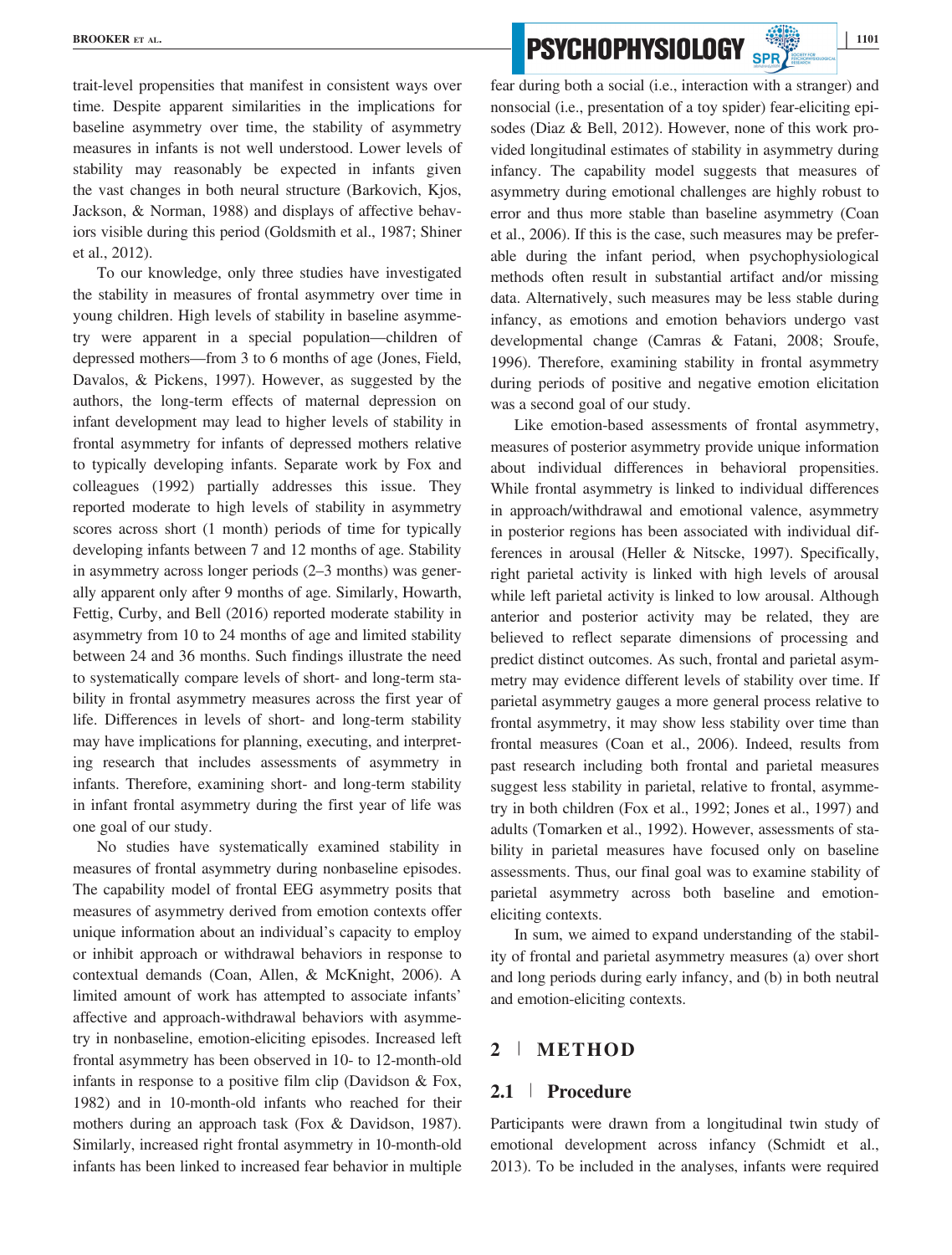trait-level propensities that manifest in consistent ways over time. Despite apparent similarities in the implications for baseline asymmetry over time, the stability of asymmetry measures in infants is not well understood. Lower levels of stability may reasonably be expected in infants given the vast changes in both neural structure (Barkovich, Kjos, Jackson, & Norman, 1988) and displays of affective behaviors visible during this period (Goldsmith et al., 1987; Shiner et al., 2012).

To our knowledge, only three studies have investigated the stability in measures of frontal asymmetry over time in young children. High levels of stability in baseline asymmetry were apparent in a special population—children of depressed mothers—from 3 to 6 months of age (Jones, Field, Davalos, & Pickens, 1997). However, as suggested by the authors, the long-term effects of maternal depression on infant development may lead to higher levels of stability in frontal asymmetry for infants of depressed mothers relative to typically developing infants. Separate work by Fox and colleagues (1992) partially addresses this issue. They reported moderate to high levels of stability in asymmetry scores across short (1 month) periods of time for typically developing infants between 7 and 12 months of age. Stability in asymmetry across longer periods (2–3 months) was generally apparent only after 9 months of age. Similarly, Howarth, Fettig, Curby, and Bell (2016) reported moderate stability in asymmetry from 10 to 24 months of age and limited stability between 24 and 36 months. Such findings illustrate the need to systematically compare levels of short- and long-term stability in frontal asymmetry measures across the first year of life. Differences in levels of short- and long-term stability may have implications for planning, executing, and interpreting research that includes assessments of asymmetry in infants. Therefore, examining short- and long-term stability in infant frontal asymmetry during the first year of life was one goal of our study.

No studies have systematically examined stability in measures of frontal asymmetry during nonbaseline episodes. The capability model of frontal EEG asymmetry posits that measures of asymmetry derived from emotion contexts offer unique information about an individual's capacity to employ or inhibit approach or withdrawal behaviors in response to contextual demands (Coan, Allen, & McKnight, 2006). A limited amount of work has attempted to associate infants' affective and approach-withdrawal behaviors with asymmetry in nonbaseline, emotion-eliciting episodes. Increased left frontal asymmetry has been observed in 10- to 12-month-old infants in response to a positive film clip (Davidson & Fox, 1982) and in 10-month-old infants who reached for their mothers during an approach task (Fox & Davidson, 1987). Similarly, increased right frontal asymmetry in 10-month-old infants has been linked to increased fear behavior in multiple

BROOKER ET AL. 1101

fear during both a social (i.e., interaction with a stranger) and nonsocial (i.e., presentation of a toy spider) fear-eliciting episodes (Diaz & Bell, 2012). However, none of this work provided longitudinal estimates of stability in asymmetry during infancy. The capability model suggests that measures of asymmetry during emotional challenges are highly robust to error and thus more stable than baseline asymmetry (Coan et al., 2006). If this is the case, such measures may be preferable during the infant period, when psychophysiological methods often result in substantial artifact and/or missing data. Alternatively, such measures may be less stable during infancy, as emotions and emotion behaviors undergo vast developmental change (Camras & Fatani, 2008; Sroufe, 1996). Therefore, examining stability in frontal asymmetry during periods of positive and negative emotion elicitation was a second goal of our study.

Like emotion-based assessments of frontal asymmetry, measures of posterior asymmetry provide unique information about individual differences in behavioral propensities. While frontal asymmetry is linked to individual differences in approach/withdrawal and emotional valence, asymmetry in posterior regions has been associated with individual differences in arousal (Heller & Nitscke, 1997). Specifically, right parietal activity is linked with high levels of arousal while left parietal activity is linked to low arousal. Although anterior and posterior activity may be related, they are believed to reflect separate dimensions of processing and predict distinct outcomes. As such, frontal and parietal asymmetry may evidence different levels of stability over time. If parietal asymmetry gauges a more general process relative to frontal asymmetry, it may show less stability over time than frontal measures (Coan et al., 2006). Indeed, results from past research including both frontal and parietal measures suggest less stability in parietal, relative to frontal, asymmetry in both children (Fox et al., 1992; Jones et al., 1997) and adults (Tomarken et al., 1992). However, assessments of stability in parietal measures have focused only on baseline assessments. Thus, our final goal was to examine stability of parietal asymmetry across both baseline and emotioneliciting contexts.

In sum, we aimed to expand understanding of the stability of frontal and parietal asymmetry measures (a) over short and long periods during early infancy, and (b) in both neutral and emotion-eliciting contexts.

## 2 <sup>|</sup> METHOD

## 2.1 <sup>|</sup> Procedure

Participants were drawn from a longitudinal twin study of emotional development across infancy (Schmidt et al., 2013). To be included in the analyses, infants were required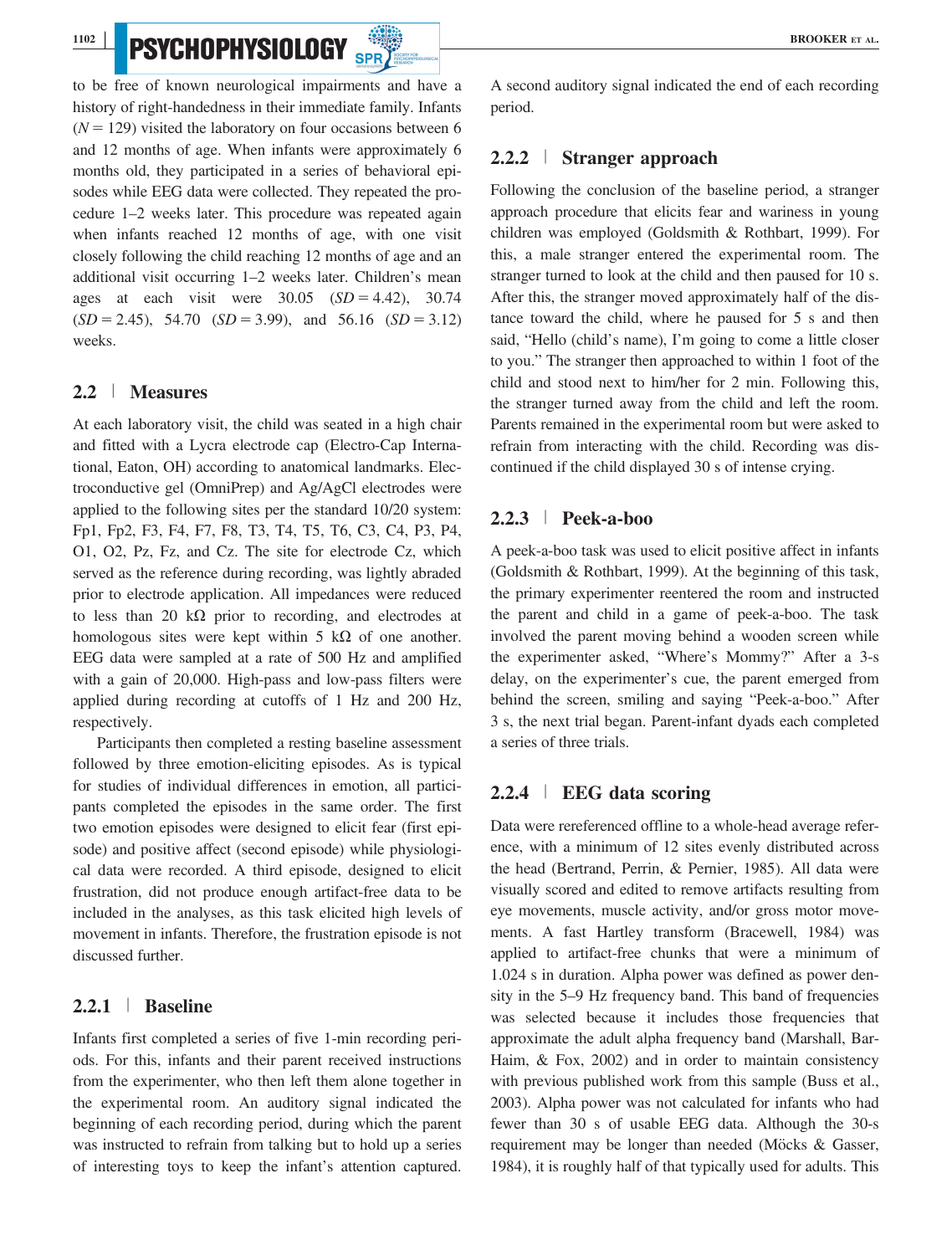# **PSYCHOPHYSIOLOGY** SPR)

to be free of known neurological impairments and have a history of right-handedness in their immediate family. Infants  $(N = 129)$  visited the laboratory on four occasions between 6 and 12 months of age. When infants were approximately 6 months old, they participated in a series of behavioral episodes while EEG data were collected. They repeated the procedure 1–2 weeks later. This procedure was repeated again when infants reached 12 months of age, with one visit closely following the child reaching 12 months of age and an additional visit occurring 1–2 weeks later. Children's mean ages at each visit were  $30.05$   $(SD = 4.42)$ ,  $30.74$  $(SD = 2.45)$ , 54.70  $(SD = 3.99)$ , and 56.16  $(SD = 3.12)$ weeks.

## 2.2 <sup>|</sup> Measures

At each laboratory visit, the child was seated in a high chair and fitted with a Lycra electrode cap (Electro-Cap International, Eaton, OH) according to anatomical landmarks. Electroconductive gel (OmniPrep) and Ag/AgCl electrodes were applied to the following sites per the standard 10/20 system: Fp1, Fp2, F3, F4, F7, F8, T3, T4, T5, T6, C3, C4, P3, P4, O1, O2, Pz, Fz, and Cz. The site for electrode Cz, which served as the reference during recording, was lightly abraded prior to electrode application. All impedances were reduced to less than 20 k $\Omega$  prior to recording, and electrodes at homologous sites were kept within 5  $k\Omega$  of one another. EEG data were sampled at a rate of 500 Hz and amplified with a gain of 20,000. High-pass and low-pass filters were applied during recording at cutoffs of 1 Hz and 200 Hz, respectively.

Participants then completed a resting baseline assessment followed by three emotion-eliciting episodes. As is typical for studies of individual differences in emotion, all participants completed the episodes in the same order. The first two emotion episodes were designed to elicit fear (first episode) and positive affect (second episode) while physiological data were recorded. A third episode, designed to elicit frustration, did not produce enough artifact-free data to be included in the analyses, as this task elicited high levels of movement in infants. Therefore, the frustration episode is not discussed further.

## 2.2.1 <sup>|</sup> Baseline

Infants first completed a series of five 1-min recording periods. For this, infants and their parent received instructions from the experimenter, who then left them alone together in the experimental room. An auditory signal indicated the beginning of each recording period, during which the parent was instructed to refrain from talking but to hold up a series of interesting toys to keep the infant's attention captured.

A second auditory signal indicated the end of each recording period.

### 2.2.2 <sup>|</sup> Stranger approach

Following the conclusion of the baseline period, a stranger approach procedure that elicits fear and wariness in young children was employed (Goldsmith & Rothbart, 1999). For this, a male stranger entered the experimental room. The stranger turned to look at the child and then paused for 10 s. After this, the stranger moved approximately half of the distance toward the child, where he paused for 5 s and then said, "Hello (child's name), I'm going to come a little closer to you." The stranger then approached to within 1 foot of the child and stood next to him/her for 2 min. Following this, the stranger turned away from the child and left the room. Parents remained in the experimental room but were asked to refrain from interacting with the child. Recording was discontinued if the child displayed 30 s of intense crying.

### 2.2.3 <sup>|</sup> Peek-a-boo

A peek-a-boo task was used to elicit positive affect in infants (Goldsmith & Rothbart, 1999). At the beginning of this task, the primary experimenter reentered the room and instructed the parent and child in a game of peek-a-boo. The task involved the parent moving behind a wooden screen while the experimenter asked, "Where's Mommy?" After a 3-s delay, on the experimenter's cue, the parent emerged from behind the screen, smiling and saying "Peek-a-boo." After 3 s, the next trial began. Parent-infant dyads each completed a series of three trials.

#### 2.2.4 <sup>|</sup> EEG data scoring

Data were rereferenced offline to a whole-head average reference, with a minimum of 12 sites evenly distributed across the head (Bertrand, Perrin, & Pernier, 1985). All data were visually scored and edited to remove artifacts resulting from eye movements, muscle activity, and/or gross motor movements. A fast Hartley transform (Bracewell, 1984) was applied to artifact-free chunks that were a minimum of 1.024 s in duration. Alpha power was defined as power density in the 5–9 Hz frequency band. This band of frequencies was selected because it includes those frequencies that approximate the adult alpha frequency band (Marshall, Bar-Haim, & Fox, 2002) and in order to maintain consistency with previous published work from this sample (Buss et al., 2003). Alpha power was not calculated for infants who had fewer than 30 s of usable EEG data. Although the 30-s requirement may be longer than needed (Möcks & Gasser, 1984), it is roughly half of that typically used for adults. This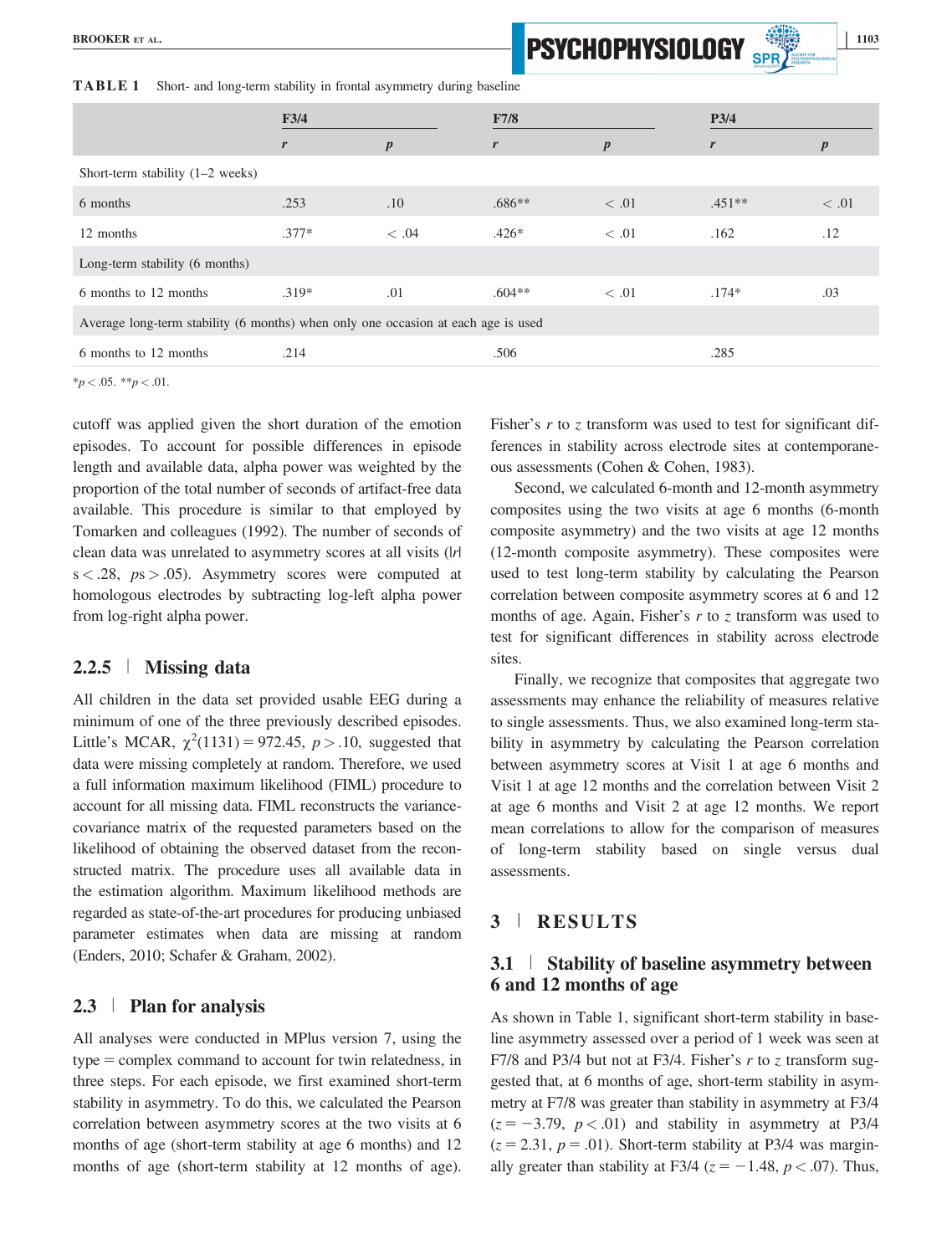TABLE 1 Short- and long-term stability in frontal asymmetry during baseline

|                                                                                   | F3/4         |                  | F7/8     |                       | P3/4         |                  |  |  |
|-----------------------------------------------------------------------------------|--------------|------------------|----------|-----------------------|--------------|------------------|--|--|
|                                                                                   | $\mathbf{r}$ | $\boldsymbol{p}$ | r        | $\boldsymbol{p}$      | $\mathbf{r}$ | $\boldsymbol{p}$ |  |  |
| Short-term stability $(1-2$ weeks)                                                |              |                  |          |                       |              |                  |  |  |
| 6 months                                                                          | .253         | .10              | $.686**$ | $\langle .01 \rangle$ | $.451**$     | < 0.01           |  |  |
| 12 months                                                                         | $.377*$      | <.04             | $.426*$  | <.01                  | .162         | .12              |  |  |
| Long-term stability (6 months)                                                    |              |                  |          |                       |              |                  |  |  |
| 6 months to 12 months                                                             | $.319*$      | .01              | $.604**$ | $\leq .01$            | $.174*$      | .03              |  |  |
| Average long-term stability (6 months) when only one occasion at each age is used |              |                  |          |                       |              |                  |  |  |
| 6 months to 12 months                                                             | .214         |                  | .506     |                       | .285         |                  |  |  |

 $**p* < .05.$   $**p* < .01.$ 

cutoff was applied given the short duration of the emotion episodes. To account for possible differences in episode length and available data, alpha power was weighted by the proportion of the total number of seconds of artifact-free data available. This procedure is similar to that employed by Tomarken and colleagues (1992). The number of seconds of clean data was unrelated to asymmetry scores at all visits (lrl  $s < .28$ ,  $ps > .05$ ). Asymmetry scores were computed at homologous electrodes by subtracting log-left alpha power from log-right alpha power.

## 2.2.5 <sup>|</sup> Missing data

All children in the data set provided usable EEG during a minimum of one of the three previously described episodes. Little's MCAR,  $\chi^2(1131) = 972.45$ ,  $p > .10$ , suggested that data were missing completely at random. Therefore, we used a full information maximum likelihood (FIML) procedure to account for all missing data. FIML reconstructs the variancecovariance matrix of the requested parameters based on the likelihood of obtaining the observed dataset from the reconstructed matrix. The procedure uses all available data in the estimation algorithm. Maximum likelihood methods are regarded as state-of-the-art procedures for producing unbiased parameter estimates when data are missing at random (Enders, 2010; Schafer & Graham, 2002).

## 2.3 <sup>|</sup> Plan for analysis

All analyses were conducted in MPlus version 7, using the  $type = complex$  command to account for twin relatedness, in three steps. For each episode, we first examined short-term stability in asymmetry. To do this, we calculated the Pearson correlation between asymmetry scores at the two visits at 6 months of age (short-term stability at age 6 months) and 12 months of age (short-term stability at 12 months of age).

Fisher's  $r$  to  $z$  transform was used to test for significant differences in stability across electrode sites at contemporaneous assessments (Cohen & Cohen, 1983).

Second, we calculated 6-month and 12-month asymmetry composites using the two visits at age 6 months (6-month composite asymmetry) and the two visits at age 12 months (12-month composite asymmetry). These composites were used to test long-term stability by calculating the Pearson correlation between composite asymmetry scores at 6 and 12 months of age. Again, Fisher's  $r$  to  $z$  transform was used to test for significant differences in stability across electrode sites.

Finally, we recognize that composites that aggregate two assessments may enhance the reliability of measures relative to single assessments. Thus, we also examined long-term stability in asymmetry by calculating the Pearson correlation between asymmetry scores at Visit 1 at age 6 months and Visit 1 at age 12 months and the correlation between Visit 2 at age 6 months and Visit 2 at age 12 months. We report mean correlations to allow for the comparison of measures of long-term stability based on single versus dual assessments.

### 3 <sup>|</sup> RESULTS

## 3.1 <sup>|</sup> Stability of baseline asymmetry between 6 and 12 months of age

As shown in Table 1, significant short-term stability in baseline asymmetry assessed over a period of 1 week was seen at F7/8 and P3/4 but not at F3/4. Fisher's  $r$  to  $z$  transform suggested that, at 6 months of age, short-term stability in asymmetry at F7/8 was greater than stability in asymmetry at F3/4  $(z = -3.79, p < .01)$  and stability in asymmetry at P3/4  $(z = 2.31, p = .01)$ . Short-term stability at P3/4 was marginally greater than stability at F3/4 ( $z = -1.48$ ,  $p < .07$ ). Thus,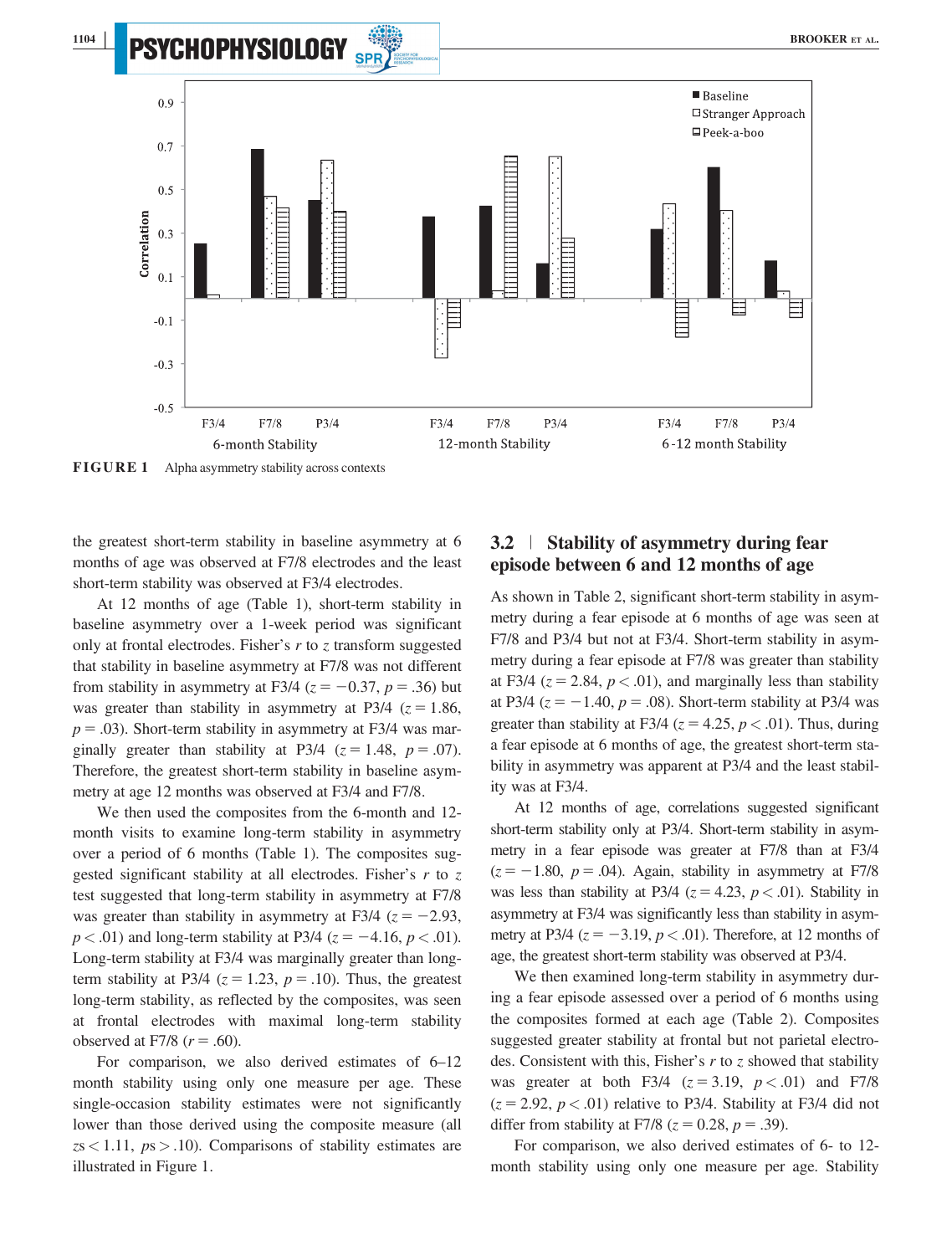**PSYCHOPHYSIOLOGY EXPERIMENT AL. BROOKER ET AL.** 



FIGURE 1 Alpha asymmetry stability across contexts

the greatest short-term stability in baseline asymmetry at 6 months of age was observed at F7/8 electrodes and the least short-term stability was observed at F3/4 electrodes.

At 12 months of age (Table 1), short-term stability in baseline asymmetry over a 1-week period was significant only at frontal electrodes. Fisher's  $r$  to  $z$  transform suggested that stability in baseline asymmetry at F7/8 was not different from stability in asymmetry at F3/4 ( $z = -0.37$ ,  $p = .36$ ) but was greater than stability in asymmetry at P3/4 ( $z = 1.86$ ,  $p = .03$ ). Short-term stability in asymmetry at F3/4 was marginally greater than stability at P3/4 ( $z = 1.48$ ,  $p = .07$ ). Therefore, the greatest short-term stability in baseline asymmetry at age 12 months was observed at F3/4 and F7/8.

We then used the composites from the 6-month and 12 month visits to examine long-term stability in asymmetry over a period of 6 months (Table 1). The composites suggested significant stability at all electrodes. Fisher's  $r$  to  $z$ test suggested that long-term stability in asymmetry at F7/8 was greater than stability in asymmetry at F3/4 ( $z = -2.93$ ,  $p < .01$ ) and long-term stability at P3/4 ( $z = -4.16$ ,  $p < .01$ ). Long-term stability at F3/4 was marginally greater than longterm stability at P3/4 ( $z = 1.23$ ,  $p = .10$ ). Thus, the greatest long-term stability, as reflected by the composites, was seen at frontal electrodes with maximal long-term stability observed at F7/8  $(r = .60)$ .

For comparison, we also derived estimates of 6–12 month stability using only one measure per age. These single-occasion stability estimates were not significantly lower than those derived using the composite measure (all  $zs < 1.11$ ,  $ps > .10$ ). Comparisons of stability estimates are illustrated in Figure 1.

## 3.2 <sup>|</sup> Stability of asymmetry during fear episode between 6 and 12 months of age

As shown in Table 2, significant short-term stability in asymmetry during a fear episode at 6 months of age was seen at F7/8 and P3/4 but not at F3/4. Short-term stability in asymmetry during a fear episode at F7/8 was greater than stability at F3/4 ( $z = 2.84$ ,  $p < .01$ ), and marginally less than stability at P3/4 ( $z = -1.40$ ,  $p = .08$ ). Short-term stability at P3/4 was greater than stability at F3/4 ( $z = 4.25$ ,  $p < .01$ ). Thus, during a fear episode at 6 months of age, the greatest short-term stability in asymmetry was apparent at P3/4 and the least stability was at F3/4.

At 12 months of age, correlations suggested significant short-term stability only at P3/4. Short-term stability in asymmetry in a fear episode was greater at F7/8 than at F3/4  $(z = -1.80, p = .04)$ . Again, stability in asymmetry at F7/8 was less than stability at P3/4 ( $z = 4.23$ ,  $p < .01$ ). Stability in asymmetry at F3/4 was significantly less than stability in asymmetry at P3/4 ( $z = -3.19$ ,  $p < .01$ ). Therefore, at 12 months of age, the greatest short-term stability was observed at P3/4.

We then examined long-term stability in asymmetry during a fear episode assessed over a period of 6 months using the composites formed at each age (Table 2). Composites suggested greater stability at frontal but not parietal electrodes. Consistent with this, Fisher's  $r$  to  $z$  showed that stability was greater at both F3/4 ( $z = 3.19$ ,  $p < .01$ ) and F7/8  $(z = 2.92, p < .01)$  relative to P3/4. Stability at F3/4 did not differ from stability at F7/8 ( $z = 0.28$ ,  $p = .39$ ).

For comparison, we also derived estimates of 6- to 12 month stability using only one measure per age. Stability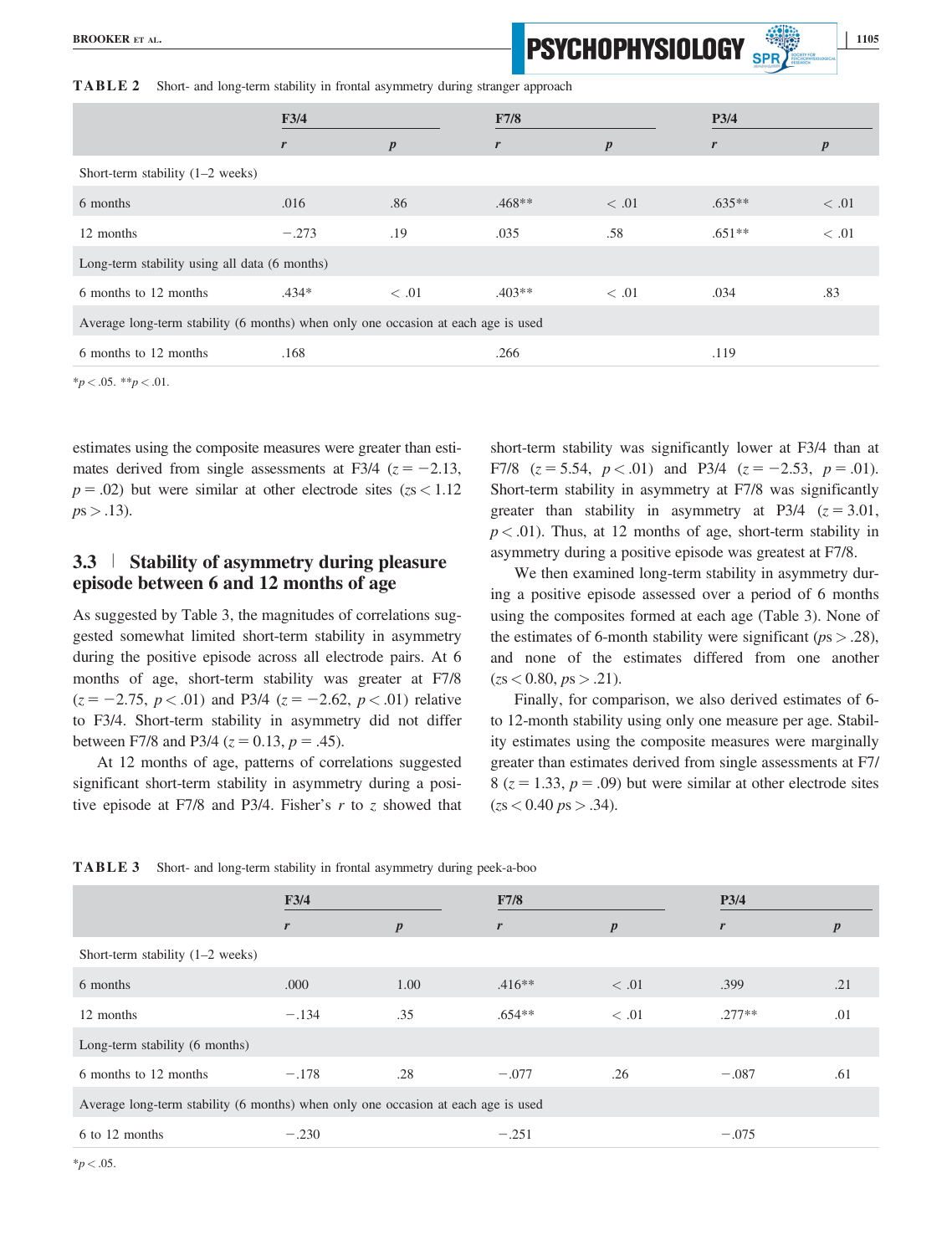TABLE 2 Short- and long-term stability in frontal asymmetry during stranger approach

|                                                                                   | F3/4         |                  | F7/8     |                  | P3/4         |                  |  |  |
|-----------------------------------------------------------------------------------|--------------|------------------|----------|------------------|--------------|------------------|--|--|
|                                                                                   | $\mathbf{r}$ | $\boldsymbol{p}$ | r        | $\boldsymbol{p}$ | $\mathbf{r}$ | $\boldsymbol{p}$ |  |  |
| Short-term stability $(1-2$ weeks)                                                |              |                  |          |                  |              |                  |  |  |
| 6 months                                                                          | .016         | .86              | $.468**$ | < .01            | $.635**$     | < .01            |  |  |
| 12 months                                                                         | $-.273$      | .19              | .035     | .58              | $.651**$     | <.01             |  |  |
| Long-term stability using all data (6 months)                                     |              |                  |          |                  |              |                  |  |  |
| 6 months to 12 months                                                             | $.434*$      | < 0.01           | $.403**$ | <.01             | .034         | .83              |  |  |
| Average long-term stability (6 months) when only one occasion at each age is used |              |                  |          |                  |              |                  |  |  |
| 6 months to 12 months                                                             | .168         |                  | .266     |                  | .119         |                  |  |  |

 $*_{p}$  < .05.  $*_{p}$  < .01.

estimates using the composite measures were greater than estimates derived from single assessments at F3/4  $(z = -2.13,$  $p = .02$ ) but were similar at other electrode sites (zs < 1.12)  $ps > .13$ ).

## 3.3 <sup>|</sup> Stability of asymmetry during pleasure episode between 6 and 12 months of age

As suggested by Table 3, the magnitudes of correlations suggested somewhat limited short-term stability in asymmetry during the positive episode across all electrode pairs. At 6 months of age, short-term stability was greater at F7/8  $(z = -2.75, p < .01)$  and P3/4  $(z = -2.62, p < .01)$  relative to F3/4. Short-term stability in asymmetry did not differ between F7/8 and P3/4 ( $z = 0.13$ ,  $p = .45$ ).

At 12 months of age, patterns of correlations suggested significant short-term stability in asymmetry during a positive episode at F7/8 and P3/4. Fisher's  $r$  to  $\zeta$  showed that

short-term stability was significantly lower at F3/4 than at F7/8 ( $z = 5.54$ ,  $p < .01$ ) and P3/4 ( $z = -2.53$ ,  $p = .01$ ). Short-term stability in asymmetry at F7/8 was significantly greater than stability in asymmetry at P3/4  $(z = 3.01,$  $p < .01$ ). Thus, at 12 months of age, short-term stability in asymmetry during a positive episode was greatest at F7/8.

We then examined long-term stability in asymmetry during a positive episode assessed over a period of 6 months using the composites formed at each age (Table 3). None of the estimates of 6-month stability were significant ( $ps > .28$ ), and none of the estimates differed from one another  $(zs < 0.80, ps > .21).$ 

Finally, for comparison, we also derived estimates of 6 to 12-month stability using only one measure per age. Stability estimates using the composite measures were marginally greater than estimates derived from single assessments at F7/ 8 ( $z = 1.33$ ,  $p = .09$ ) but were similar at other electrode sites  $(zs < 0.40 \text{ ps} > .34)$ .

|                                                                                   | F3/4         |                  | F7/8         |                  | P3/4             |     |  |  |
|-----------------------------------------------------------------------------------|--------------|------------------|--------------|------------------|------------------|-----|--|--|
|                                                                                   | $\mathbf{r}$ | $\boldsymbol{p}$ | $\mathbf{r}$ | $\boldsymbol{p}$ | $\boldsymbol{r}$ |     |  |  |
| Short-term stability $(1-2$ weeks)                                                |              |                  |              |                  |                  |     |  |  |
| 6 months                                                                          | .000         | 1.00             | $.416**$     | <.01             | .399             | .21 |  |  |
| 12 months                                                                         | $-.134$      | .35              | $.654**$     | <.01             | $.277**$         | .01 |  |  |
| Long-term stability (6 months)                                                    |              |                  |              |                  |                  |     |  |  |
| 6 months to 12 months                                                             | $-.178$      | .28              | $-.077$      | .26              | $-.087$          | .61 |  |  |
| Average long-term stability (6 months) when only one occasion at each age is used |              |                  |              |                  |                  |     |  |  |
| 6 to 12 months                                                                    | $-.230$      |                  | $-.251$      |                  | $-.075$          |     |  |  |

TABLE 3 Short- and long-term stability in frontal asymmetry during peek-a-boo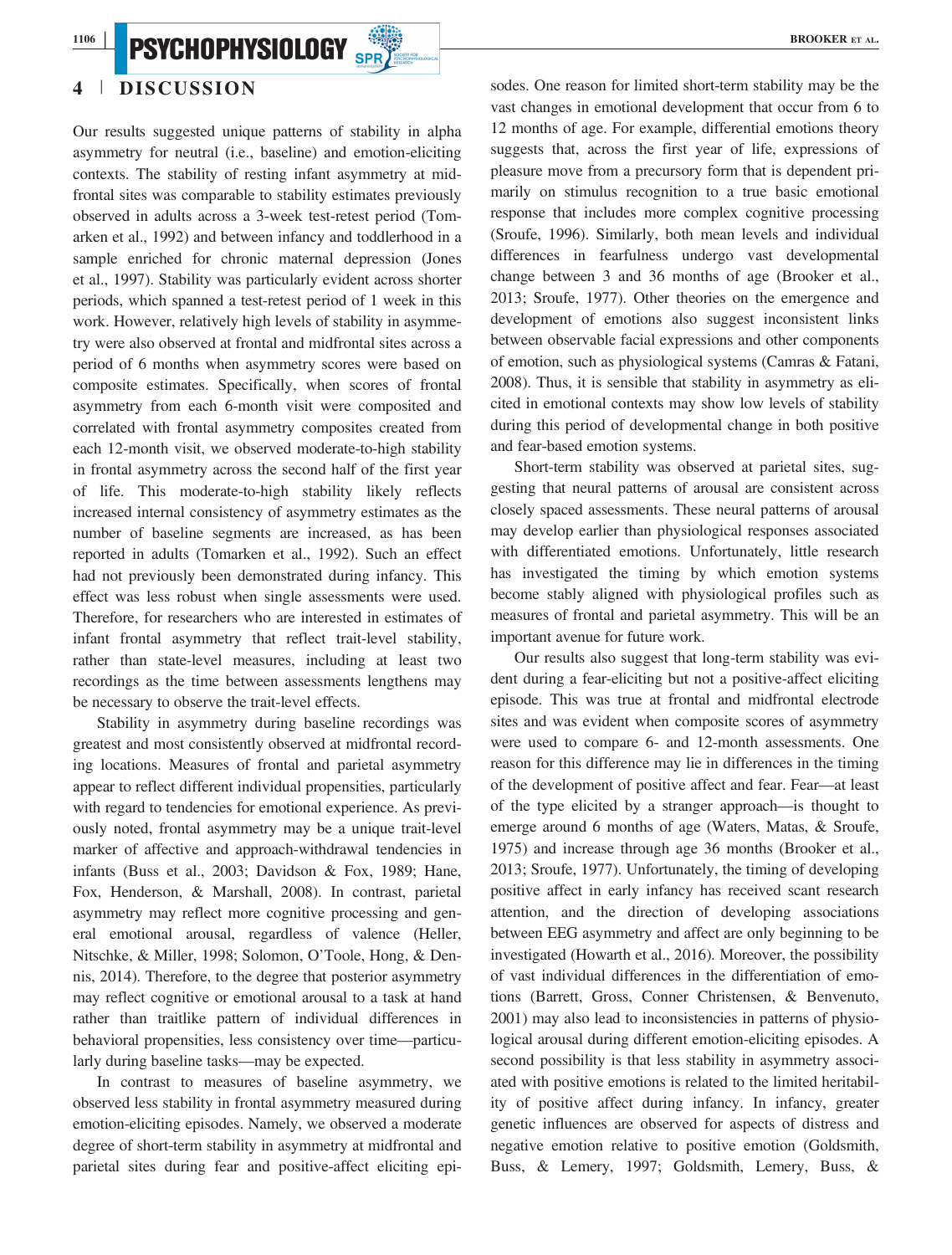

# 4 <sup>|</sup> DISCUSSION

Our results suggested unique patterns of stability in alpha asymmetry for neutral (i.e., baseline) and emotion-eliciting contexts. The stability of resting infant asymmetry at midfrontal sites was comparable to stability estimates previously observed in adults across a 3-week test-retest period (Tomarken et al., 1992) and between infancy and toddlerhood in a sample enriched for chronic maternal depression (Jones et al., 1997). Stability was particularly evident across shorter periods, which spanned a test-retest period of 1 week in this work. However, relatively high levels of stability in asymmetry were also observed at frontal and midfrontal sites across a period of 6 months when asymmetry scores were based on composite estimates. Specifically, when scores of frontal asymmetry from each 6-month visit were composited and correlated with frontal asymmetry composites created from each 12-month visit, we observed moderate-to-high stability in frontal asymmetry across the second half of the first year of life. This moderate-to-high stability likely reflects increased internal consistency of asymmetry estimates as the number of baseline segments are increased, as has been reported in adults (Tomarken et al., 1992). Such an effect had not previously been demonstrated during infancy. This effect was less robust when single assessments were used. Therefore, for researchers who are interested in estimates of infant frontal asymmetry that reflect trait-level stability, rather than state-level measures, including at least two recordings as the time between assessments lengthens may be necessary to observe the trait-level effects.

Stability in asymmetry during baseline recordings was greatest and most consistently observed at midfrontal recording locations. Measures of frontal and parietal asymmetry appear to reflect different individual propensities, particularly with regard to tendencies for emotional experience. As previously noted, frontal asymmetry may be a unique trait-level marker of affective and approach-withdrawal tendencies in infants (Buss et al., 2003; Davidson & Fox, 1989; Hane, Fox, Henderson, & Marshall, 2008). In contrast, parietal asymmetry may reflect more cognitive processing and general emotional arousal, regardless of valence (Heller, Nitschke, & Miller, 1998; Solomon, O'Toole, Hong, & Dennis, 2014). Therefore, to the degree that posterior asymmetry may reflect cognitive or emotional arousal to a task at hand rather than traitlike pattern of individual differences in behavioral propensities, less consistency over time—particularly during baseline tasks—may be expected.

In contrast to measures of baseline asymmetry, we observed less stability in frontal asymmetry measured during emotion-eliciting episodes. Namely, we observed a moderate degree of short-term stability in asymmetry at midfrontal and parietal sites during fear and positive-affect eliciting epi-

sodes. One reason for limited short-term stability may be the vast changes in emotional development that occur from 6 to 12 months of age. For example, differential emotions theory suggests that, across the first year of life, expressions of pleasure move from a precursory form that is dependent primarily on stimulus recognition to a true basic emotional response that includes more complex cognitive processing (Sroufe, 1996). Similarly, both mean levels and individual differences in fearfulness undergo vast developmental change between 3 and 36 months of age (Brooker et al., 2013; Sroufe, 1977). Other theories on the emergence and development of emotions also suggest inconsistent links between observable facial expressions and other components of emotion, such as physiological systems (Camras & Fatani, 2008). Thus, it is sensible that stability in asymmetry as elicited in emotional contexts may show low levels of stability during this period of developmental change in both positive and fear-based emotion systems.

Short-term stability was observed at parietal sites, suggesting that neural patterns of arousal are consistent across closely spaced assessments. These neural patterns of arousal may develop earlier than physiological responses associated with differentiated emotions. Unfortunately, little research has investigated the timing by which emotion systems become stably aligned with physiological profiles such as measures of frontal and parietal asymmetry. This will be an important avenue for future work.

Our results also suggest that long-term stability was evident during a fear-eliciting but not a positive-affect eliciting episode. This was true at frontal and midfrontal electrode sites and was evident when composite scores of asymmetry were used to compare 6- and 12-month assessments. One reason for this difference may lie in differences in the timing of the development of positive affect and fear. Fear—at least of the type elicited by a stranger approach—is thought to emerge around 6 months of age (Waters, Matas, & Sroufe, 1975) and increase through age 36 months (Brooker et al., 2013; Sroufe, 1977). Unfortunately, the timing of developing positive affect in early infancy has received scant research attention, and the direction of developing associations between EEG asymmetry and affect are only beginning to be investigated (Howarth et al., 2016). Moreover, the possibility of vast individual differences in the differentiation of emotions (Barrett, Gross, Conner Christensen, & Benvenuto, 2001) may also lead to inconsistencies in patterns of physiological arousal during different emotion-eliciting episodes. A second possibility is that less stability in asymmetry associated with positive emotions is related to the limited heritability of positive affect during infancy. In infancy, greater genetic influences are observed for aspects of distress and negative emotion relative to positive emotion (Goldsmith, Buss, & Lemery, 1997; Goldsmith, Lemery, Buss, &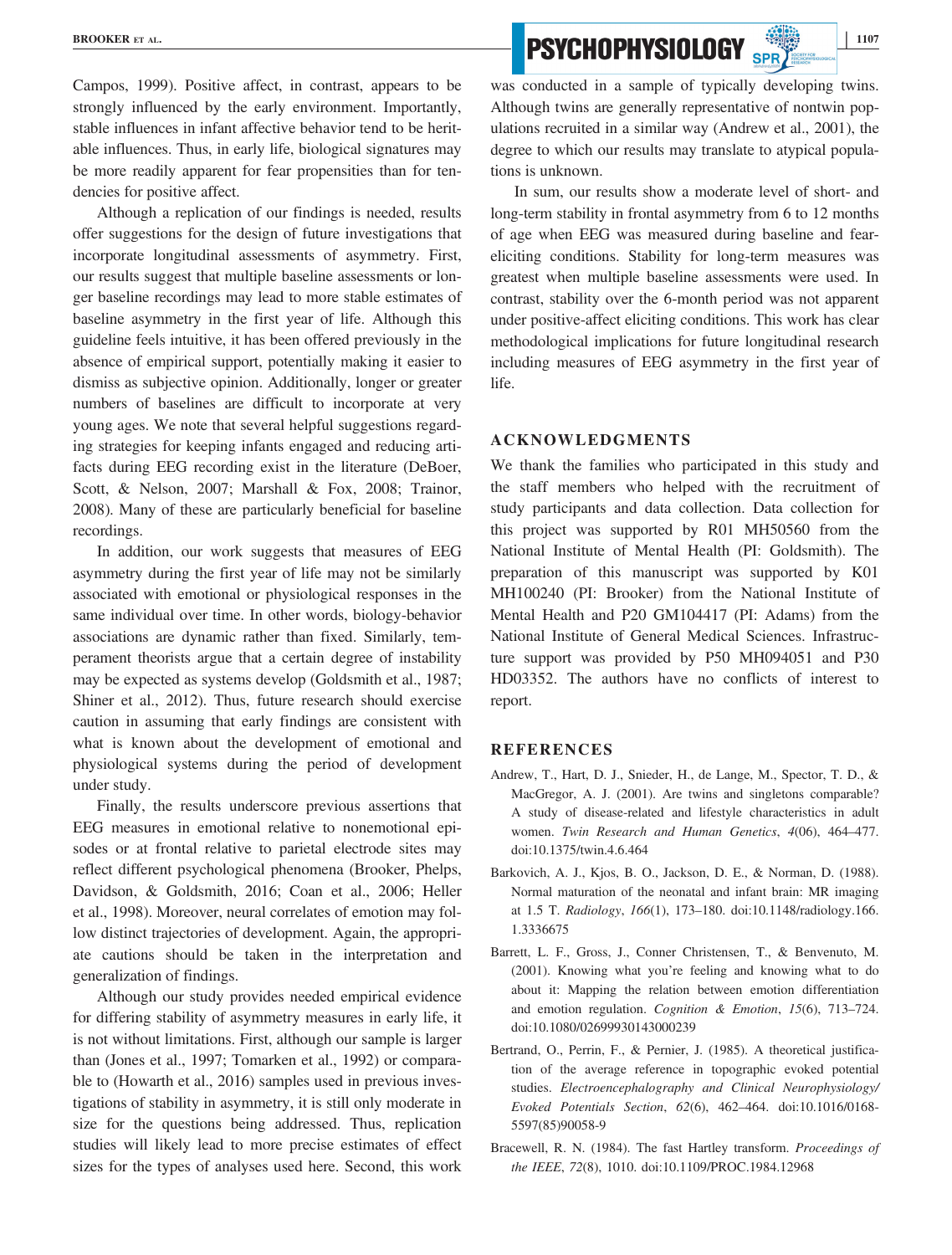Campos, 1999). Positive affect, in contrast, appears to be strongly influenced by the early environment. Importantly, stable influences in infant affective behavior tend to be heritable influences. Thus, in early life, biological signatures may be more readily apparent for fear propensities than for tendencies for positive affect.

Although a replication of our findings is needed, results offer suggestions for the design of future investigations that incorporate longitudinal assessments of asymmetry. First, our results suggest that multiple baseline assessments or longer baseline recordings may lead to more stable estimates of baseline asymmetry in the first year of life. Although this guideline feels intuitive, it has been offered previously in the absence of empirical support, potentially making it easier to dismiss as subjective opinion. Additionally, longer or greater numbers of baselines are difficult to incorporate at very young ages. We note that several helpful suggestions regarding strategies for keeping infants engaged and reducing artifacts during EEG recording exist in the literature (DeBoer, Scott, & Nelson, 2007; Marshall & Fox, 2008; Trainor, 2008). Many of these are particularly beneficial for baseline recordings.

In addition, our work suggests that measures of EEG asymmetry during the first year of life may not be similarly associated with emotional or physiological responses in the same individual over time. In other words, biology-behavior associations are dynamic rather than fixed. Similarly, temperament theorists argue that a certain degree of instability may be expected as systems develop (Goldsmith et al., 1987; Shiner et al., 2012). Thus, future research should exercise caution in assuming that early findings are consistent with what is known about the development of emotional and physiological systems during the period of development under study.

Finally, the results underscore previous assertions that EEG measures in emotional relative to nonemotional episodes or at frontal relative to parietal electrode sites may reflect different psychological phenomena (Brooker, Phelps, Davidson, & Goldsmith, 2016; Coan et al., 2006; Heller et al., 1998). Moreover, neural correlates of emotion may follow distinct trajectories of development. Again, the appropriate cautions should be taken in the interpretation and generalization of findings.

Although our study provides needed empirical evidence for differing stability of asymmetry measures in early life, it is not without limitations. First, although our sample is larger than (Jones et al., 1997; Tomarken et al., 1992) or comparable to (Howarth et al., 2016) samples used in previous investigations of stability in asymmetry, it is still only moderate in size for the questions being addressed. Thus, replication studies will likely lead to more precise estimates of effect sizes for the types of analyses used here. Second, this work

# BROOKER ET AL. **AL. AND SECOND PROPERTY SIDLOGY** SPREAD FOR THE SECOND FOR STREET ALL 1107

was conducted in a sample of typically developing twins. Although twins are generally representative of nontwin populations recruited in a similar way (Andrew et al., 2001), the degree to which our results may translate to atypical populations is unknown.

In sum, our results show a moderate level of short- and long-term stability in frontal asymmetry from 6 to 12 months of age when EEG was measured during baseline and feareliciting conditions. Stability for long-term measures was greatest when multiple baseline assessments were used. In contrast, stability over the 6-month period was not apparent under positive-affect eliciting conditions. This work has clear methodological implications for future longitudinal research including measures of EEG asymmetry in the first year of life.

#### ACKNOWLEDGMENTS

We thank the families who participated in this study and the staff members who helped with the recruitment of study participants and data collection. Data collection for this project was supported by R01 MH50560 from the National Institute of Mental Health (PI: Goldsmith). The preparation of this manuscript was supported by K01 MH100240 (PI: Brooker) from the National Institute of Mental Health and P20 GM104417 (PI: Adams) from the National Institute of General Medical Sciences. Infrastructure support was provided by P50 MH094051 and P30 HD03352. The authors have no conflicts of interest to report.

#### REFERENCES

- Andrew, T., Hart, D. J., Snieder, H., de Lange, M., Spector, T. D., & MacGregor, A. J. (2001). Are twins and singletons comparable? A study of disease-related and lifestyle characteristics in adult women. Twin Research and Human Genetics, 4(06), 464–477. doi[:10.1375/twin.4.6.464](info:doi/10.1375/twin.4.6.464)
- Barkovich, A. J., Kjos, B. O., Jackson, D. E., & Norman, D. (1988). Normal maturation of the neonatal and infant brain: MR imaging at 1.5 T. Radiology, 166(1), 173–180. doi[:10.1148/radiology.166.](info:doi/10.1148/radiology.166.1.3336675) [1.3336675](info:doi/10.1148/radiology.166.1.3336675)
- Barrett, L. F., Gross, J., Conner Christensen, T., & Benvenuto, M. (2001). Knowing what you're feeling and knowing what to do about it: Mapping the relation between emotion differentiation and emotion regulation. Cognition & Emotion, 15(6), 713–724. doi[:10.1080/02699930143000239](info:doi/10.1080/02699930143000239)
- Bertrand, O., Perrin, F., & Pernier, J. (1985). A theoretical justification of the average reference in topographic evoked potential studies. Electroencephalography and Clinical Neurophysiology/ Evoked Potentials Section, 62(6), 462–464. doi:[10.1016/0168-](info:doi/10.1016/0168-5597(85)90058-9) [5597\(85\)90058-9](info:doi/10.1016/0168-5597(85)90058-9)
- Bracewell, R. N. (1984). The fast Hartley transform. Proceedings of the IEEE, 72(8), 1010. doi[:10.1109/PROC.1984.12968](info:doi/10.1109/PROC.1984.12968)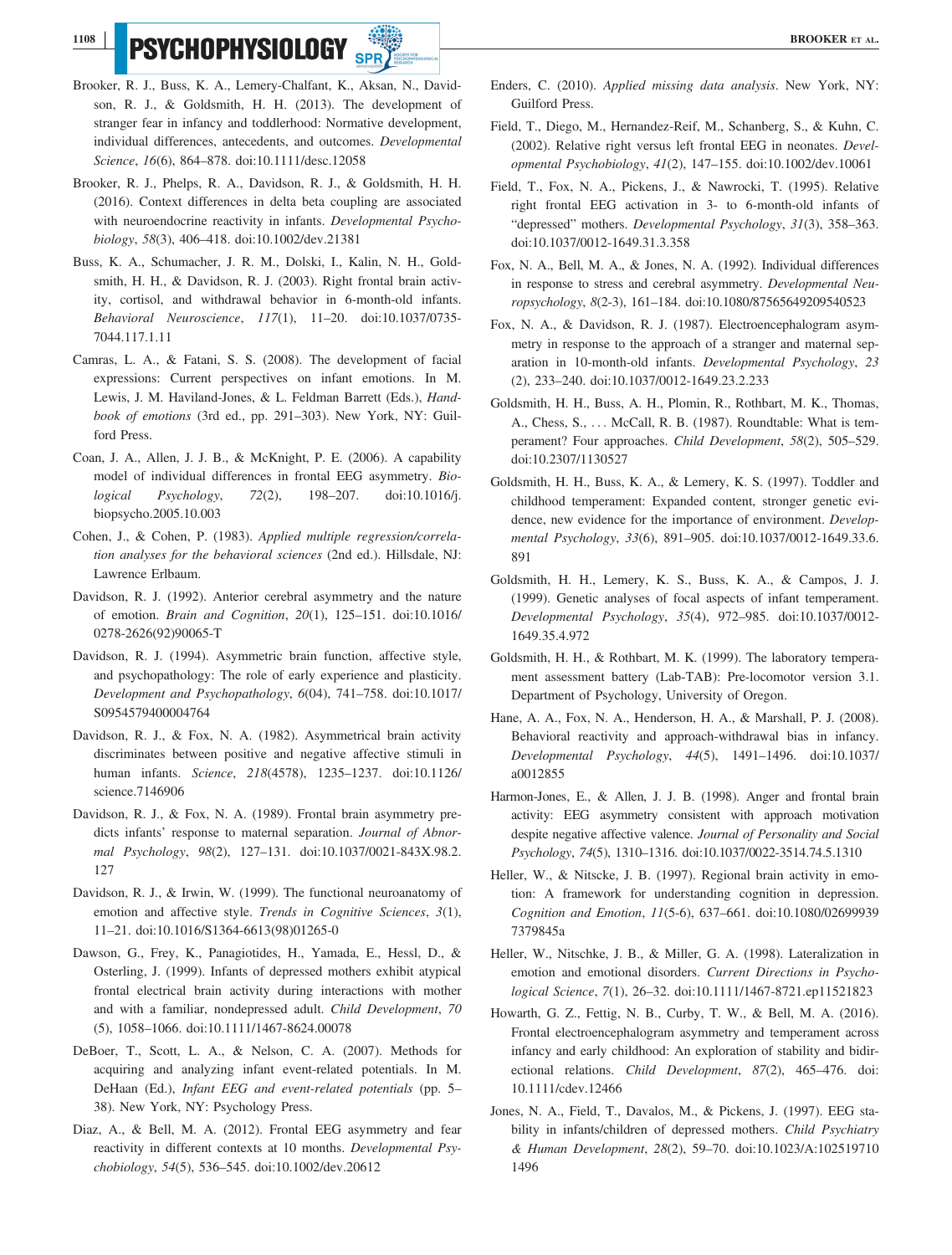**1108 | PSYCHOPHYSIOLOGY** SPR)

- Brooker, R. J., Buss, K. A., Lemery-Chalfant, K., Aksan, N., Davidson, R. J., & Goldsmith, H. H. (2013). The development of stranger fear in infancy and toddlerhood: Normative development, individual differences, antecedents, and outcomes. Developmental Science, 16(6), 864–878. doi[:10.1111/desc.12058](info:doi/10.1111/desc.12058)
- Brooker, R. J., Phelps, R. A., Davidson, R. J., & Goldsmith, H. H. (2016). Context differences in delta beta coupling are associated with neuroendocrine reactivity in infants. Developmental Psychobiology, 58(3), 406–418. doi:[10.1002/dev.21381](info:doi/10.1002/dev.21381)
- Buss, K. A., Schumacher, J. R. M., Dolski, I., Kalin, N. H., Goldsmith, H. H., & Davidson, R. J. (2003). Right frontal brain activity, cortisol, and withdrawal behavior in 6-month-old infants. Behavioral Neuroscience, 117(1), 11–20. doi[:10.1037/0735-](info:doi/10.1037/0735-7044.117.1.11) [7044.117.1.11](info:doi/10.1037/0735-7044.117.1.11)
- Camras, L. A., & Fatani, S. S. (2008). The development of facial expressions: Current perspectives on infant emotions. In M. Lewis, J. M. Haviland-Jones, & L. Feldman Barrett (Eds.), Handbook of emotions (3rd ed., pp. 291–303). New York, NY: Guilford Press.
- Coan, J. A., Allen, J. J. B., & McKnight, P. E. (2006). A capability model of individual differences in frontal EEG asymmetry. Biological Psychology, 72(2), 198–207. doi:[10.1016/j.](info:doi/10.1016/j.biopsycho.2005.10.003) [biopsycho.2005.10.003](info:doi/10.1016/j.biopsycho.2005.10.003)
- Cohen, J., & Cohen, P. (1983). Applied multiple regression/correlation analyses for the behavioral sciences (2nd ed.). Hillsdale, NJ: Lawrence Erlbaum.
- Davidson, R. J. (1992). Anterior cerebral asymmetry and the nature of emotion. Brain and Cognition, 20(1), 125–151. doi[:10.1016/](info:doi/10.1016/0278-2626(92)90065-T) [0278-2626\(92\)90065-T](info:doi/10.1016/0278-2626(92)90065-T)
- Davidson, R. J. (1994). Asymmetric brain function, affective style, and psychopathology: The role of early experience and plasticity. Development and Psychopathology, 6(04), 741–758. doi[:10.1017/](info:doi/10.1017/S0954579400004764) [S0954579400004764](info:doi/10.1017/S0954579400004764)
- Davidson, R. J., & Fox, N. A. (1982). Asymmetrical brain activity discriminates between positive and negative affective stimuli in human infants. Science, 218(4578), 1235–1237. doi[:10.1126/](info:doi/10.1126/science.7146906) [science.7146906](info:doi/10.1126/science.7146906)
- Davidson, R. J., & Fox, N. A. (1989). Frontal brain asymmetry predicts infants' response to maternal separation. Journal of Abnormal Psychology, 98(2), 127–131. doi[:10.1037/0021-843X.98.2.](info:doi/10.1037/0021-843X.98.2.127) [127](info:doi/10.1037/0021-843X.98.2.127)
- Davidson, R. J., & Irwin, W. (1999). The functional neuroanatomy of emotion and affective style. Trends in Cognitive Sciences, 3(1), 11–21. doi:[10.1016/S1364-6613\(98\)01265-0](info:doi/10.1016/S1364-6613(98)01265-0)
- Dawson, G., Frey, K., Panagiotides, H., Yamada, E., Hessl, D., & Osterling, J. (1999). Infants of depressed mothers exhibit atypical frontal electrical brain activity during interactions with mother and with a familiar, nondepressed adult. Child Development, 70 (5), 1058–1066. doi[:10.1111/1467-8624.00078](info:doi/10.1111/1467-8624.00078)
- DeBoer, T., Scott, L. A., & Nelson, C. A. (2007). Methods for acquiring and analyzing infant event-related potentials. In M. DeHaan (Ed.), Infant EEG and event-related potentials (pp. 5– 38). New York, NY: Psychology Press.
- Diaz, A., & Bell, M. A. (2012). Frontal EEG asymmetry and fear reactivity in different contexts at 10 months. Developmental Psychobiology, 54(5), 536–545. doi:[10.1002/dev.20612](info:doi/10.1002/dev.20612)
- Enders, C. (2010). Applied missing data analysis. New York, NY: Guilford Press.
- Field, T., Diego, M., Hernandez-Reif, M., Schanberg, S., & Kuhn, C. (2002). Relative right versus left frontal EEG in neonates. Developmental Psychobiology, 41(2), 147–155. doi:[10.1002/dev.10061](info:doi/10.1002/dev.10061)
- Field, T., Fox, N. A., Pickens, J., & Nawrocki, T. (1995). Relative right frontal EEG activation in 3- to 6-month-old infants of "depressed" mothers. Developmental Psychology, 31(3), 358-363. doi[:10.1037/0012-1649.31.3.358](info:doi/10.1037/0012-1649.31.3.358)
- Fox, N. A., Bell, M. A., & Jones, N. A. (1992). Individual differences in response to stress and cerebral asymmetry. Developmental Neuropsychology, 8(2-3), 161–184. doi[:10.1080/87565649209540523](info:doi/10.1080/87565649209540523)
- Fox, N. A., & Davidson, R. J. (1987). Electroencephalogram asymmetry in response to the approach of a stranger and maternal separation in 10-month-old infants. Developmental Psychology, 23 (2), 233–240. doi[:10.1037/0012-1649.23.2.233](info:doi/10.1037/0012-1649.23.2.233)
- Goldsmith, H. H., Buss, A. H., Plomin, R., Rothbart, M. K., Thomas, A., Chess, S., ... McCall, R. B. (1987). Roundtable: What is temperament? Four approaches. Child Development, 58(2), 505–529. doi[:10.2307/1130527](info:doi/10.2307/1130527)
- Goldsmith, H. H., Buss, K. A., & Lemery, K. S. (1997). Toddler and childhood temperament: Expanded content, stronger genetic evidence, new evidence for the importance of environment. Developmental Psychology, 33(6), 891–905. doi:[10.1037/0012-1649.33.6.](info:doi/10.1037/0012-1649.33.6.891) [891](info:doi/10.1037/0012-1649.33.6.891)
- Goldsmith, H. H., Lemery, K. S., Buss, K. A., & Campos, J. J. (1999). Genetic analyses of focal aspects of infant temperament. Developmental Psychology, 35(4), 972–985. doi:[10.1037/0012-](info:doi/10.1037/0012-1649.35.4.972) [1649.35.4.972](info:doi/10.1037/0012-1649.35.4.972)
- Goldsmith, H. H., & Rothbart, M. K. (1999). The laboratory temperament assessment battery (Lab-TAB): Pre-locomotor version 3.1. Department of Psychology, University of Oregon.
- Hane, A. A., Fox, N. A., Henderson, H. A., & Marshall, P. J. (2008). Behavioral reactivity and approach-withdrawal bias in infancy. Developmental Psychology, 44(5), 1491–1496. doi:[10.1037/](info:doi/10.1037/a0012855) [a0012855](info:doi/10.1037/a0012855)
- Harmon-Jones, E., & Allen, J. J. B. (1998). Anger and frontal brain activity: EEG asymmetry consistent with approach motivation despite negative affective valence. Journal of Personality and Social Psychology, 74(5), 1310–1316. doi[:10.1037/0022-3514.74.5.1310](info:doi/10.1037/0022-3514.74.5.1310)
- Heller, W., & Nitscke, J. B. (1997). Regional brain activity in emotion: A framework for understanding cognition in depression. Cognition and Emotion, 11(5-6), 637–661. doi:[10.1080/02699939](info:doi/10.1080/026999397379845a) [7379845a](info:doi/10.1080/026999397379845a)
- Heller, W., Nitschke, J. B., & Miller, G. A. (1998). Lateralization in emotion and emotional disorders. Current Directions in Psychological Science, 7(1), 26–32. doi[:10.1111/1467-8721.ep11521823](info:doi/10.1111/1467-8721.ep11521823)
- Howarth, G. Z., Fettig, N. B., Curby, T. W., & Bell, M. A. (2016). Frontal electroencephalogram asymmetry and temperament across infancy and early childhood: An exploration of stability and bidirectional relations. Child Development, 87(2), 465–476. doi: [10.1111/cdev.12466](info:doi/10.1111/cdev.12466)
- Jones, N. A., Field, T., Davalos, M., & Pickens, J. (1997). EEG stability in infants/children of depressed mothers. Child Psychiatry & Human Development, 28(2), 59–70. doi:[10.1023/A:102519710](info:doi/10.1023/A:1025197101496) [1496](info:doi/10.1023/A:1025197101496)